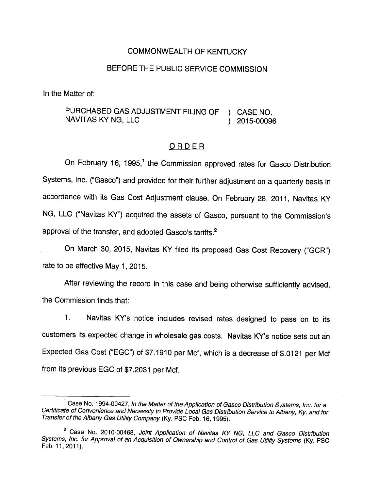#### COMMONWEALTH OF KENTUCKY

### BEFORE THE PUBLIC SERVICE COMMISSION

In the Matter of:

PURCHASED GAS ADJUSTMENT FILING OF ) CASE NO. NAVITAS KY NG, LLC (2015-00096)

#### ORDER

On February 16, 1995,<sup>1</sup> the Commission approved rates for Gasco Distribution Systems, Inc. ("Gasco") and provided for their further adjustment on a quarterly basis in accordance with its Gas Cost Adjustment clause. On February 28, 2011, Navitas KY NG, LLC ("Navitas KY") acquired the assets of Gasco, pursuant to the Commission's approval of the transfer, and adopted Gasco's tariffs.<sup>2</sup>

On March 30, 2015, Navitas KY filed its proposed Gas Cost Recovery ("GCR") rate to be effective May 1, 2015.

After reviewing the record in this case and being otherwise sufficiently advised, the Commission finds that:

1. Navitas KY's notice includes revised rates designed to pass on to its customers its expected change in wholesale gas costs. Navitas KY's notice sets out an Expected Gas Cost ("EGC") of \$7.1910 per Mcf, which is a decrease of \$.0121 per Mcf from its previous EGC of \$7.2031 per Mcf.

 $^1$  Case No. 1994-00427, In the Matter of the Application of Gasco Distribution Systems, Inc. for a Certificate of Convenience and Necessity to Provide Local Gas Distribution Service to Albany, Ky. and for Transfer of the Albany Gas Utility Company (Ky. PSC Feb. 16, 1995).

 $2$  Case No. 2010-00468, Joint Application of Navitas KY NG, LLC and Gasco Distribution Systems, inc. for Approval of an Acquisition of Ownership and Control of Gas Utility Systems (Ky. PSC Feb. 11,2011).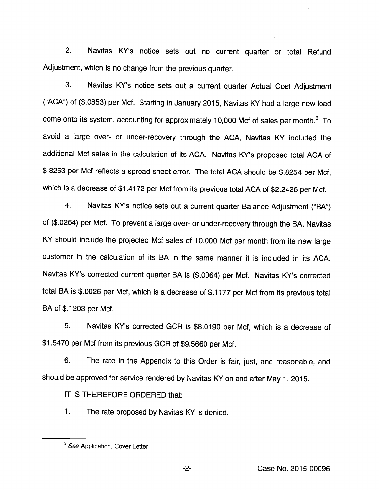2. Navitas KY's notice sets out no current quarter or total Refund Adjustment, which is no change from the previous quarter.

3. Navitas KY's notice sets out a current quarter Actual Cost Adjustment ('ACA") of(\$.0853) per Mcf. Starting in January 2015, Navitas KY had a large new load come onto its system, accounting for approximately 10,000 Mcf of sales per month. $3\text{ To}$ avoid a large over- or under-recovery through the ACA, Navitas KY included the additional Mcf sales in the calculation of its ACA. Navitas KY's proposed total ACA of \$.8253 per Mcf reflects a spread sheet error. The total ACA should be \$.8254 per Mcf, which is a decrease of \$1.4172 per Mcf from its previous total ACA of \$2.2426 per Mcf.

4. Navitas KY's notice sets out a current quarter Balance Adjustment ("BA") of (\$.0264) per Mcf. To prevent a large over- or under-recovery through the BA, Navitas KY should include the projected Mcf sales of 10,000 Mcf per month from its new large customer in the calculation of its BA in the same manner it is included in its ACA. Navitas KY's corrected current quarter BA is (\$.0064) per Mcf. Navitas KY's corrected total BA is \$.0026 per Mcf, which is a decrease of \$.1177 per Mcf from its previous total BA of \$.1203 per Mcf.

5. Navitas KY's corrected GCR is \$8.0190 per Mcf, which is a decrease of \$1.5470 per Mcf from its previous GCR of \$9.5660 per Mcf.

6. The rate in the Appendix to this Order is fair, just, and reasonable, and should be approved for service rendered by Navitas KY on and after May 1, 2015.

IT IS THEREFORE ORDERED that:

1. The rate proposed by Navitas KY is denied.

<sup>&</sup>lt;sup>3</sup> See Application, Cover Letter.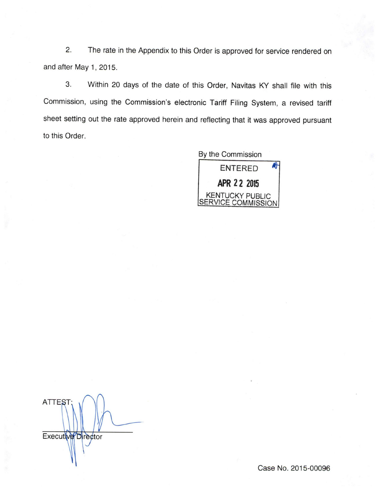2. The rate in the Appendix to this Order is approved for service rendered on and after May 1, 2015.

3. Within 20 days of the date of this Order, Navitas KY shall file with this Commission, using the Commission's electronic Tariff Filing System, a revised tariff sheet setting out the rate approved herein and reflecting that it was approved pursuant to this Order.

> By the Commission ENTERED **O** APR 2 2 2015 KENTUCKY PUBLIC SERVICE COMMISSION

ATTEST Executive<sup>D</sup>irector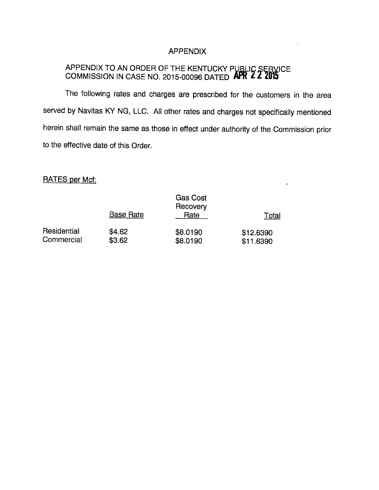### APPENDIX

# APPENDIX TO AN ORDER OF THE KENTUCKY PUBLIC SERVICE COMMISSION IN CASE NO. 2015-00096 DATED **APR 2 2 2015**

The following rates and charges are prescribed for the customers in the area served by Navitas KY NG, LLC. All other rates and charges not specifically mentioned herein shall remain the same as those in effect under authority of the Commission prior to the effective date of this Order.

 $\ddot{\phantom{0}}$ 

# RATES per Mcf:

|             | <b>Base Rate</b> | <b>Gas Cost</b><br>Recovery<br>Rate | Total     |
|-------------|------------------|-------------------------------------|-----------|
| Residential | \$4.62           | \$8.0190                            | \$12.6390 |
| Commercial  | \$3.62           | \$8.0190                            | \$11.6390 |